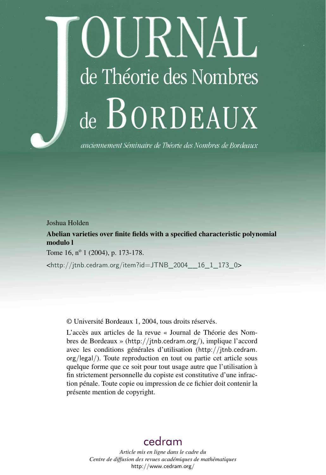# IIRNAL de Théorie des Nombres de BORDEAUX

anciennement Séminaire de Théorie des Nombres de Bordeaux

Joshua Holden

Abelian varieties over finite fields with a specified characteristic polynomial modulo l

Tome 16, n<sup>o</sup> 1 (2004), p. 173-178.

<[http://jtnb.cedram.org/item?id=JTNB\\_2004\\_\\_16\\_1\\_173\\_0](http://jtnb.cedram.org/item?id=JTNB_2004__16_1_173_0)>

© Université Bordeaux 1, 2004, tous droits réservés.

L'accès aux articles de la revue « Journal de Théorie des Nombres de Bordeaux » (<http://jtnb.cedram.org/>), implique l'accord avec les conditions générales d'utilisation ([http://jtnb.cedram.](http://jtnb.cedram.org/legal/) [org/legal/](http://jtnb.cedram.org/legal/)). Toute reproduction en tout ou partie cet article sous quelque forme que ce soit pour tout usage autre que l'utilisation à fin strictement personnelle du copiste est constitutive d'une infraction pénale. Toute copie ou impression de ce fichier doit contenir la présente mention de copyright.

# [cedram](http://www.cedram.org/)

*Article mis en ligne dans le cadre du Centre de diffusion des revues académiques de mathématiques* <http://www.cedram.org/>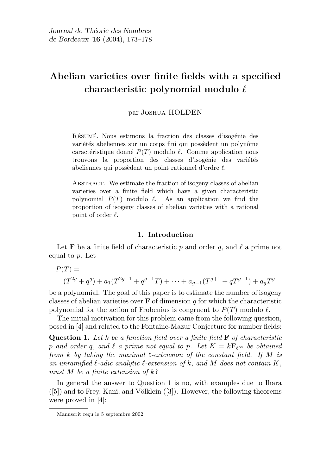## Abelian varieties over finite fields with a specified characteristic polynomial modulo  $\ell$

par Joshua HOLDEN

RÉSUMÉ. Nous estimons la fraction des classes d'isogénie des variétés abeliennes sur un corps fini qui possèdent un polynôme caractéristique donné  $P(T)$  modulo  $\ell$ . Comme application nous trouvons la proportion des classes d'isogénie des variétés abeliennes qui possèdent un point rationnel d'ordre  $\ell$ .

ABSTRACT. We estimate the fraction of isogeny classes of abelian varieties over a finite field which have a given characteristic polynomial  $P(T)$  modulo  $\ell$ . As an application we find the proportion of isogeny classes of abelian varieties with a rational point of order  $\ell$ .

### 1. Introduction

Let **F** be a finite field of characteristic p and order q, and  $\ell$  a prime not equal to p. Let

$$
P(T) =
$$
  
(T<sup>2g</sup> + q<sup>g</sup>) + a<sub>1</sub>(T<sup>2g-1</sup> + q<sup>g-1</sup>T) + ··· + a<sub>g-1</sub>(T<sup>g+1</sup> + qT<sup>g-1</sup>) + a<sub>g</sub>T<sup>g</sup>

be a polynomial. The goal of this paper is to estimate the number of isogeny classes of abelian varieties over  $\bf{F}$  of dimension q for which the characteristic polynomial for the action of Frobenius is congruent to  $P(T)$  modulo  $\ell$ .

The initial motivation for this problem came from the following question, posed in [4] and related to the Fontaine-Mazur Conjecture for number fields:

**Question 1.** Let k be a function field over a finite field  $\bf{F}$  of characteristic p and order q, and  $\ell$  a prime not equal to p. Let  $K = k\mathbf{F}_{\ell^{\infty}}$  be obtained from k by taking the maximal  $\ell$ -extension of the constant field. If M is an unramified  $\ell$ -adic analytic  $\ell$ -extension of k, and M does not contain K, must M be a finite extension of  $k$ ?

In general the answer to Question 1 is no, with examples due to Ihara  $([5])$  and to Frey, Kani, and Völklein  $([3])$ . However, the following theorems were proved in [4]:

Manuscrit reçu le 5 septembre 2002.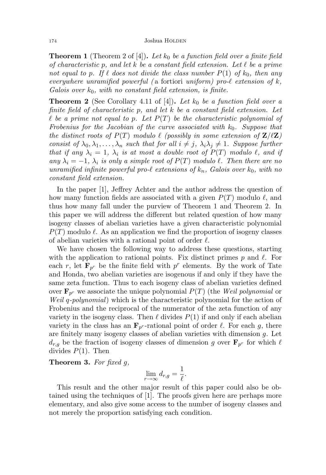**Theorem 1** (Theorem 2 of [4]). Let  $k_0$  be a function field over a finite field of characteristic p, and let k be a constant field extension. Let  $\ell$  be a prime not equal to p. If  $\ell$  does not divide the class number  $P(1)$  of  $k_0$ , then any everywhere unramified powerful (a fortiori uniform) pro- $\ell$  extension of  $k$ , Galois over  $k_0$ , with no constant field extension, is finite.

**Theorem 2** (See Corollary 4.11 of [4]). Let  $k_0$  be a function field over a finite field of characteristic  $p$ , and let  $k$  be a constant field extension. Let  $\ell$  be a prime not equal to p. Let  $P(T)$  be the characteristic polynomial of Frobenius for the Jacobian of the curve associated with  $k_0$ . Suppose that the distinct roots of  $P(T)$  modulo  $\ell$  (possibly in some extension of  $\mathbf{Z}/\ell\mathbf{Z}$ ) consist of  $\lambda_0, \lambda_1, \ldots, \lambda_n$  such that for all  $i \neq j$ ,  $\lambda_i \lambda_j \neq 1$ . Suppose further that if any  $\lambda_i = 1$ ,  $\lambda_i$  is at most a double root of  $P(T)$  modulo  $\ell$ , and if any  $\lambda_i = -1$ ,  $\lambda_i$  is only a simple root of  $P(T)$  modulo  $\ell$ . Then there are no unramified infinite powerful pro- $\ell$  extensions of  $k_n$ , Galois over  $k_0$ , with no constant field extension.

In the paper [1], Jeffrey Achter and the author address the question of how many function fields are associated with a given  $P(T)$  modulo  $\ell$ , and thus how many fall under the purview of Theorem 1 and Theorem 2. In this paper we will address the different but related question of how many isogeny classes of abelian varieties have a given characteristic polynomial  $P(T)$  modulo  $\ell$ . As an application we find the proportion of isogeny classes of abelian varieties with a rational point of order  $\ell$ .

We have chosen the following way to address these questions, starting with the application to rational points. Fix distinct primes p and  $\ell$ . For each r, let  $\mathbf{F}_{p^r}$  be the finite field with  $p^r$  elements. By the work of Tate and Honda, two abelian varieties are isogenous if and only if they have the same zeta function. Thus to each isogeny class of abelian varieties defined over  $\mathbf{F}_{p^r}$  we associate the unique polynomial  $P(T)$  (the Weil polynomial or Weil q-polynomial) which is the characteristic polynomial for the action of Frobenius and the reciprocal of the numerator of the zeta function of any variety in the isogeny class. Then  $\ell$  divides  $P(1)$  if and only if each abelian variety in the class has an  $\mathbf{F}_{p^r}$ -rational point of order  $\ell$ . For each g, there are finitely many isogeny classes of abelian varieties with dimension g. Let  $d_{r,g}$  be the fraction of isogeny classes of dimension g over  $\mathbf{F}_{p^r}$  for which  $\ell$ divides  $P(1)$ . Then

**Theorem 3.** For fixed  $q$ ,

$$
\lim_{r \to \infty} d_{r,g} = \frac{1}{\ell}.
$$

This result and the other major result of this paper could also be obtained using the techniques of [1]. The proofs given here are perhaps more elementary, and also give some access to the number of isogeny classes and not merely the proportion satisfying each condition.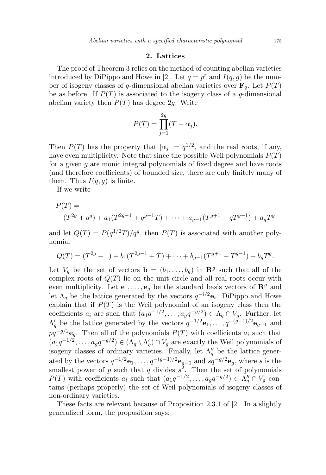#### 2. Lattices

The proof of Theorem 3 relies on the method of counting abelian varieties introduced by DiPippo and Howe in [2]. Let  $q = p^r$  and  $I(q, g)$  be the number of isogeny classes of g-dimensional abelian varieties over  $\mathbf{F}_q$ . Let  $P(T)$ be as before. If  $P(T)$  is associated to the isogeny class of a g-dimensional abelian variety then  $P(T)$  has degree 2g. Write

$$
P(T) = \prod_{j=1}^{2g} (T - \alpha_j).
$$

Then  $P(T)$  has the property that  $|\alpha_j| = q^{1/2}$ , and the real roots, if any, have even multiplicity. Note that since the possible Weil polynomials  $P(T)$ for a given g are monic integral polynomials of fixed degree and have roots (and therefore coefficients) of bounded size, there are only finitely many of them. Thus  $I(q, q)$  is finite.

If we write

$$
P(T) =
$$
  
(T<sup>2g</sup> + q<sup>g</sup>) + a<sub>1</sub>(T<sup>2g-1</sup> + q<sup>g-1</sup>T) + ··· + a<sub>g-1</sub>(T<sup>g+1</sup> + qT<sup>g-1</sup>) + a<sub>g</sub>T<sup>g</sup>

and let  $Q(T) = P(q^{1/2}T)/q^g$ , then  $P(T)$  is associated with another polynomial

$$
Q(T) = (T^{2g} + 1) + b_1(T^{2g-1} + T) + \cdots + b_{g-1}(T^{g+1} + T^{g-1}) + b_g T^g.
$$

Let  $V_g$  be the set of vectors  $\mathbf{b} = (b_1, \ldots, b_g)$  in  $\mathbf{R}^g$  such that all of the complex roots of  $Q(T)$  lie on the unit circle and all real roots occur with even multiplicity. Let  $e_1, \ldots, e_q$  be the standard basis vectors of  $\mathbb{R}^g$  and let  $\Lambda_q$  be the lattice generated by the vectors  $q^{-i/2}$ **e**<sub>i</sub>. DiPippo and Howe explain that if  $P(T)$  is the Weil polynomial of an isogeny class then the coefficients  $a_i$  are such that  $(a_1q^{-1/2}, \ldots, a_gq^{-g/2}) \in \Lambda_q \cap V_g$ . Further, let  $\Lambda'_q$  be the lattice generated by the vectors  $q^{-1/2}$ **e**<sub>1</sub>, ...,  $q^{-(g-1)/2}$ **e**<sub>g-1</sub> and  $pq^{-g/2}$ **e**<sub>g</sub>. Then all of the polynomials  $P(T)$  with coefficients  $a_i$  such that  $(a_1q^{-1/2}, \ldots, a_gq^{-g/2}) \in (\Lambda_q \setminus \Lambda_q') \cap V_g$  are exactly the Weil polynomials of isogeny classes of ordinary varieties. Finally, let  $\Lambda_q''$  be the lattice generated by the vectors  $q^{-1/2}$ **e**<sub>1</sub>, ...,  $q^{-(g-1)/2}$ **e**<sub>g-1</sub> and  $sq^{-g/2}$ **e**<sub>g</sub>, where s is the smallest power of p such that q divides  $s^2$ . Then the set of polynomials  $P(T)$  with coefficients  $a_i$  such that  $(a_1q^{-1/2}, \ldots, a_gq^{-g/2}) \in \Lambda_q'' \cap V_g$  contains (perhaps properly) the set of Weil polynomials of isogeny classes of non-ordinary varieties.

These facts are relevant because of Proposition 2.3.1 of [2]. In a slightly generalized form, the proposition says: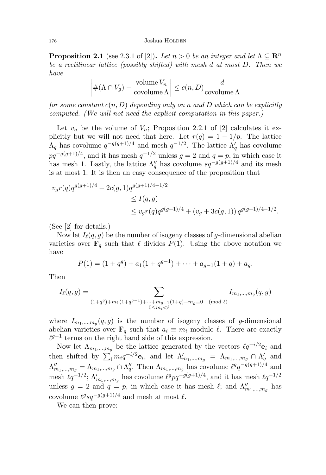#### 176 Joshua HOLDEN

**Proposition 2.1** (see 2.3.1 of [2]). Let  $n > 0$  be an integer and let  $\Lambda \subseteq \mathbb{R}^n$ be a rectilinear lattice (possibly shifted) with mesh d at most D. Then we have

$$
\left| \#(\Lambda \cap V_g) - \frac{\text{volume } V_n}{\text{covolume }\Lambda} \right| \le c(n, D) \frac{d}{\text{covolume }\Lambda}
$$

for some constant  $c(n, D)$  depending only on n and D which can be explicitly computed. (We will not need the explicit computation in this paper.)

Let  $v_n$  be the volume of  $V_n$ ; Proposition 2.2.1 of [2] calculates it explicitly but we will not need that here. Let  $r(q) = 1 - 1/p$ . The lattice  $\Lambda_q$  has covolume  $q^{-g(g+1)/4}$  and mesh  $q^{-1/2}$ . The lattice  $\Lambda'_q$  has covolume  $pq^{-g(g+1)/4}$ , and it has mesh  $q^{-1/2}$  unless  $g = 2$  and  $q = p$ , in which case it has mesh 1. Lastly, the lattice  $\Lambda_q''$  has covolume  $sq^{-g(g+1)/4}$  and its mesh is at most 1. It is then an easy consequence of the proposition that

$$
v_g r(q) q^{g(g+1)/4} - 2c(g, 1) q^{g(g+1)/4 - 1/2}
$$
  
\n
$$
\leq I(q, g)
$$
  
\n
$$
\leq v_g r(q) q^{g(g+1)/4} + (v_g + 3c(g, 1)) q^{g(g+1)/4 - 1/2}.
$$

(See [2] for details.)

Now let  $I_{\ell}(q, g)$  be the number of isogeny classes of g-dimensional abelian varieties over  $\mathbf{F}_q$  such that  $\ell$  divides  $P(1)$ . Using the above notation we have

$$
P(1) = (1 + qg) + a1(1 + qg-1) + \dots + ag-1(1 + q) + ag.
$$

Then

$$
I_{\ell}(q,g) = \sum_{\substack{(1+q^g)+m_1(1+q^{g-1})+\cdots+m_{g-1}(1+q)+m_g \equiv 0 \pmod{\ell}}} I_{m_1,\ldots,m_g}(q,g)
$$

where  $I_{m_1,...,m_g}(q,g)$  is the number of isogeny classes of g-dimensional abelian varieties over  $\mathbf{F}_q$  such that  $a_i \equiv m_i$  modulo  $\ell$ . There are exactly  $\ell^{g-1}$  terms on the right hand side of this expression.

Now let  $\Lambda_{m_1,...,m_g}$  be the lattice generated by the vectors  $\ell q^{-i/2}e_i$  and then shifted by  $\sum_i m_i q^{-i/2} \mathbf{e}_i$ , and let  $\Lambda'_{m_1,...,m_g} = \Lambda_{m_1,...,m_g} \cap \Lambda'_q$  and  $\Lambda''_{m_1,...,m_g} = \Lambda_{m_1,...,m_g} \cap \Lambda''_q$ . Then  $\Lambda_{m_1,...,m_g}$  has covolume  $\ell^g q^{-g(g+1)/4}$  and mesh  $\ell q^{-1/2}$ ;  $\Lambda'_{m_1,...,m_g}$  has covolume  $\ell^g p q^{-g(g+1)/4}$ , and it has mesh  $\ell q^{-1/2}$ unless  $g = 2$  and  $q = p$ , in which case it has mesh  $\ell$ ; and  $\Lambda''_{m_1,...,m_g}$  has covolume  $\ell^g s q^{-g(g+1)/4}$  and mesh at most  $\ell$ .

We can then prove: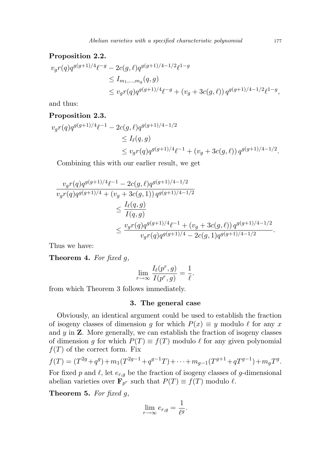#### Proposition 2.2.

$$
v_g r(q) q^{g(g+1)/4} \ell^{-g} - 2c(g,\ell) q^{g(g+1)/4 - 1/2} \ell^{1-g}
$$
  
\n
$$
\leq I_{m_1,\dots,m_g}(q,g)
$$
  
\n
$$
\leq v_g r(q) q^{g(g+1)/4} \ell^{-g} + (v_g + 3c(g,\ell)) q^{g(g+1)/4 - 1/2} \ell^{1-g},
$$

and thus:

#### Proposition 2.3.

$$
v_g r(q) q^{g(g+1)/4} \ell^{-1} - 2c(g,\ell) q^{g(g+1)/4 - 1/2}
$$
  
\n
$$
\leq I_{\ell}(q,g)
$$
  
\n
$$
\leq v_g r(q) q^{g(g+1)/4} \ell^{-1} + (v_g + 3c(g,\ell)) q^{g(g+1)/4 - 1/2}.
$$

Combining this with our earlier result, we get

$$
\frac{v_g r(q) q^{g(g+1)/4} \ell^{-1} - 2c(g,\ell) q^{g(g+1)/4 - 1/2}}{v_g r(q) q^{g(g+1)/4} + (v_g + 3c(g, 1)) q^{g(g+1)/4 - 1/2}}
$$
  

$$
\leq \frac{I_{\ell}(q,g)}{I(q,g)} \leq \frac{v_g r(q) q^{g(g+1)/4} \ell^{-1} + (v_g + 3c(g,\ell)) q^{g(g+1)/4 - 1/2}}{v_g r(q) q^{g(g+1)/4} - 2c(g, 1) q^{g(g+1)/4 - 1/2}}.
$$

Thus we have:

**Theorem 4.** For fixed  $g$ ,

$$
\lim_{r \to \infty} \frac{I_{\ell}(p^r, g)}{I(p^r, g)} = \frac{1}{\ell}.
$$

from which Theorem 3 follows immediately.

#### 3. The general case

Obviously, an identical argument could be used to establish the fraction of isogeny classes of dimension g for which  $P(x) \equiv y$  modulo  $\ell$  for any x and  $y$  in  $\mathbf{Z}$ . More generally, we can establish the fraction of isogeny classes of dimension g for which  $P(T) \equiv f(T)$  modulo  $\ell$  for any given polynomial  $f(T)$  of the correct form. Fix

$$
f(T) = (T^{2g} + q^g) + m_1(T^{2g-1} + q^{g-1}T) + \dots + m_{g-1}(T^{g+1} + qT^{g-1}) + m_gT^g.
$$

For fixed p and  $\ell$ , let  $e_{r,q}$  be the fraction of isogeny classes of g-dimensional abelian varieties over  $\mathbf{F}_{p^r}$  such that  $P(T) \equiv f(T)$  modulo  $\ell$ .

**Theorem 5.** For fixed  $q$ ,

$$
\lim_{r \to \infty} e_{r,g} = \frac{1}{\ell^g}.
$$